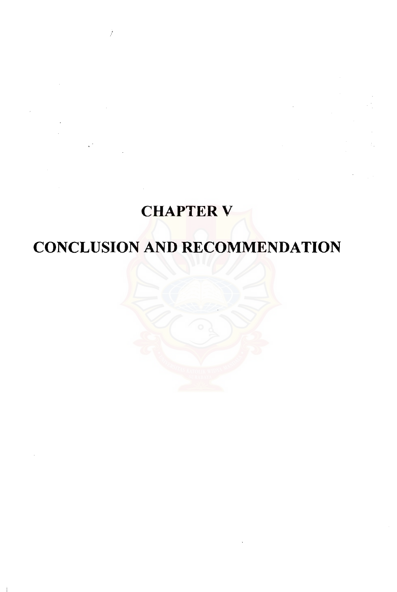# **CHAPTER V**

Ž

# CONCLUSION AND RECOMMENDATION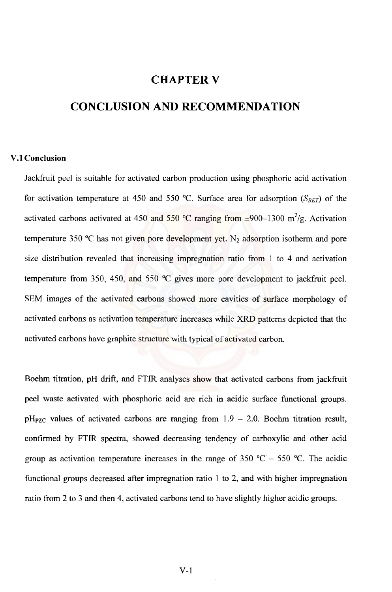## CHAPTER V

## **CONCLUSION AND RECOMMENDATION**

#### **V.I Conclusion**

lackfruit peel is suitable for activated carbon production using phosphoric acid activation for activation temperature at 450 and 550 °C. Surface area for adsorption  $(S_{BET})$  of the activated carbons activated at 450 and 550 °C ranging from  $\pm$ 900–1300 m<sup>2</sup>/g. Activation temperature 350 °C has not given pore development yet.  $N_2$  adsorption isotherm and pore size distribution revealed that increasing impregnation ratio from I to 4 and activation temperature from 350, 450, and 550°C gives more pore development to jackfruit peel. SEM images of the activated carbons showed more cavities of surface morphology of activated carbons as activation temperature increases while XRD patterns depicted that the activated carbons have graphite structure with typical of activated carbon.

Boehm titration, pH drift, and FTIR analyses show that activated carbons from jackfruit peel waste activated with phosphoric acid are rich in acidic surface functional groups.  $pH_{PZC}$  values of activated carbons are ranging from  $1.9 - 2.0$ . Boehm titration result, confirmed by FTIR spectra, showed decreasing tendency of carboxylic and other acid group as activation temperature increases in the range of 350 °C - 550 °C. The acidic functional groups decreased after impregnation ratio I to 2, and with higher impregnation ratio from 2 to 3 and then 4, activated carbons tend to have slightly higher acidic groups.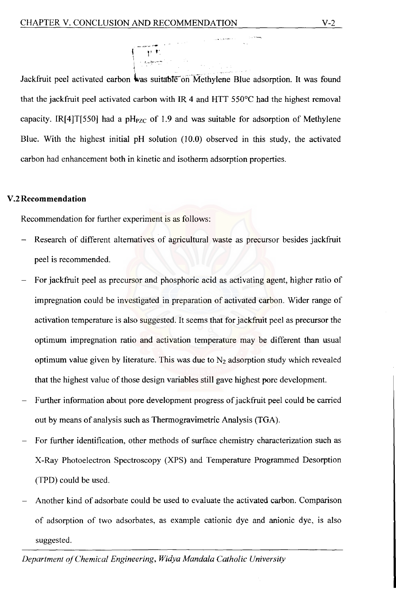l' "

Jackfruit peel activated carbon was suitable on Methylene Blue adsorption. It was found that the jackfruit peel activated carbon with IR 4 and HIT 550°C had the highest removal capacity. IR[4]T[550] had a  $pH_{PZC}$  of 1.9 and was suitable for adsorption of Methylene Blue. With the highest initial pH solution (10.0) observed in this study, the activated carbon had enhancement both in kinetic and isotherm adsorption properties.

#### V.2 **Recommendation**

Recommendation for further experiment is as follows:

- Research of different alternatives of agricultural waste as precursor besides jackfruit peel is recommended.
- For jackfruit peel as precursor and phosphoric acid as activating agent, higher ratio of impregnation could be investigated in preparation of activated carbon. Wider range of activation temperature is also suggested. It seems that for jackfruit peel as precursor the optimum impregnation ratio and activation temperature may be different than usual optimum value given by literature. This was due to N*z* adsorption study which revealed that the highest value of those design variables still gave highest pore development.
- Further information about pore development progress of jackfruit peel could be carried out by means of analysis such as Thermogravimetric Analysis (TGA).
- For further identification, other methods of surface chemistry characterization such as X-Ray Photoelectron Spectroscopy (XPS) and Temperature Programmed Desorption (TPD) could be used.
- Another kind of adsorbate could be used to evaluate the activated carbon. Comparison of adsorption of two adsorbates, as example cationic dye and anionic dye, is also suggested.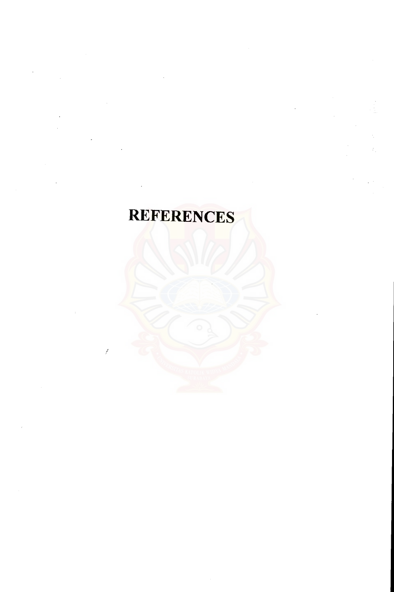# **REFERENCES**

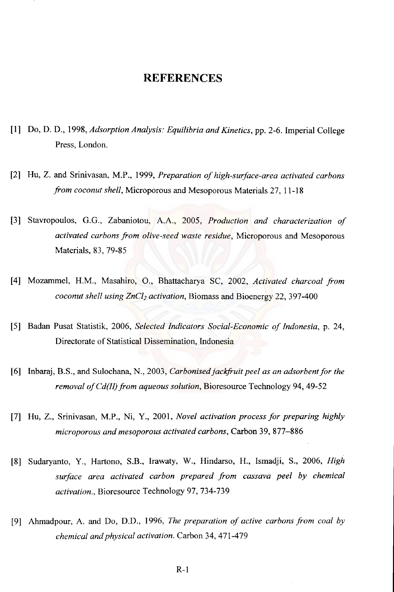### **REFERENCES**

- [1] Do, D. D., 1998, *Adsorption Analysis: Equilibria and Kinetics,* pp. 2-6. Imperial College Press, London.
- [2] Hu, Z. and Srinivasan, M.P., 1999, *Preparation of high-surface-area activated carbons from coconut shell, Microporous and Mesoporous Materials 27, 11-18*
- [3] Stavropoulos, G.G., Zabaniotou, A.A., 2005, *Production and characterization of*  activated carbons from olive-seed waste residue, Microporous and Mesoporous Materials, 83, 79-85
- [4] Mozammel, H.M., Masahiro, O., Bhattacharya SC, 2002, Activated charcoal from *coconut shell using ZnCl<sub>2</sub> activation, Biomass and Bioenergy 22, 397-400*
- [5] Badan Pusat Statistik, 2006, *Selected Indicators Social-Economic of Indonesia,* p. 24, Directorate of Statistical Dissemination, Indonesia
- [6] Inbaraj, B.S., and Sulochana, N., 2003, *Carbonisedjackfruit peel as an adsorbent for the removal of Cd(II) from aqueous solution, Bioresource Technology 94, 49-52*
- [7] Hu, Z., Srinivasan, M.P., Ni, Y., 2001, *Novel activation process for preparing highly microporous and mesoporous activated carbons,* Carbon 39,877-886
- [8] Sudaryanto, Y., Hartono, S.B., Irawaty, W., Hindarso, H., Ismadji, S., 2006, *High surface area activated carbon prepared .from cassava peel by chemical activation.,* Bioresource Technology 97, 734-739
- [9] Ahmadpour, A. and Do, D.D., 1996, *The preparation of active carbons from coal by chemical and physical activation.* Carbon 34, 471-479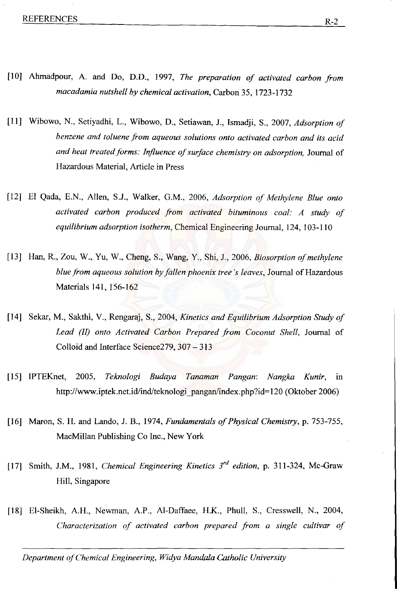- [10] Ahmadpour, A. and Do, D.D., 1997, *The preparation of activated carbon from macadamia nutshell by chemical activation,* Carbon 35, 1723-1732
- [II] Wibowo, N., Setiyadhi, L., Wibowo, D., Setiawan, J., Ismadji, S., 2007, *Adsorption of benzene and toluene from aqueous solutions onto activated carbon and its acid and heat treated forms: Influence of surface chemistry on adsorption,* Journal of Hazardous Material, Article in Press
- [12] El Qada, E.N., Allen, S.J., Walker, G.M., 2006, *Adsorption of Methylene Blue onto activated carbon produced from activated bituminous coal: A study of equilibrium adsorption isotherm,* Chemical Engineering Journal, 124, 103-110
- [13] Han, R., Zou, W., Yu, W., Cheng, S., Wang, Y., Shi, J., 2006, *Biosorption of methylene blue from aqueous solution by fallen phoenix tree's leaves,* Journal of Hazardous Materials 141, 156-162
- [14] Sekar, M., Sakthi, V., Rengaraj, S., 2004, *Kinetics and Equilibrium Adsorption Study of*  Lead (II) onto Activated Carbon Prepared from Coconut Shell, Journal of Colloid and Interface Science279, 307 - 313
- [15] IPTEKnet, 2005, *Teknologi Budaya Tanaman Pangan: Nangka Kunir,* III http://www.iptek.net.id/ind/teknologi pangan/index.php?id=120 (Oktober 2006)
- [16] Maron, S. H. and Lando, J. B., 1974, *Fundamentals of Physical Chemistry,* p. 753-755, MacMillan Publishing Co Inc., New York
- [17] Smith, J.M., 1981, *Chemical Engineering Kinetics 3'd edition,* p. 311-324, Mc-Graw Hill, Singapore
- [18] El-Sheikh, A.H., Newman, A.P., Al-Daffaee, H.K., Phull, S., Cresswell, N., 2004, *Characterization of activated carbon prepared from a single cultivar of*

*Department of Chemical Engineering, Widya Mandala Catholic University*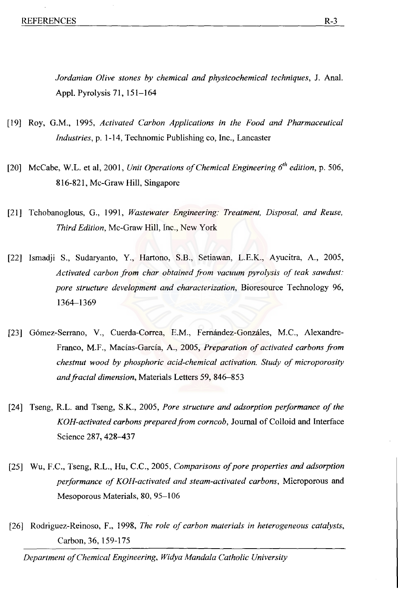*Jordanian Olive stones by chemical and physicochemical techniques,* J. Anal. Appl. Pyrolysis 71,151-164

- [19] Roy, G.M., 1995, *Activated Carbon Applications in the Food and Pharmaceutical Industries,* p. 1-14, Technomic Publishing co, Inc., Lancaster
- [20] McCabe, W.L. et ai, 2001, *Unit Operations of Chemical Engineering 6th edition,* p. 506, 816-821, Mc-Graw Hill, Singapore
- [21] Tchobanoglous, G., 1991, *Wastewater Engineering: Treatment, Disposal, and Reuse, Third Edition,* Mc-Graw Hill, Inc., New York
- [22] Ismadji S., Sudaryanto, Y, Hartono, S.B., Setiawan, L.EX., Ayucitra, A., 2005, *Activated carbon from char obtained from vacuum pyrolysis of teak sawdust: pore structure development and characterization,* Bioresource Technology 96, 1364-1369
- [23] Gómez-Serrano, V., Cuerda-Correa, E.M., Fernández-Gonzáles, M.C., Alexandre-Franco, M.F., Macias-Garcia, A., 2005, *Preparation of activated carbons from chestnut wood by phosphoric acid-chemical activation. Study of microporosity andfractal dimension,* Materials Letters 59,846-853
- [24] Tseng, R.L. and Tseng, S.K., 2005, *Pore structure and adsorption performance of the KOH-activated carbons prepared from corncob,* Journal of Colloid and Interface Science 287, 428-437
- [25] Wu, F.C., Tseng, R.L., Hu, C.c., 2005, *Comparisons of pore properties and adsorption performance of KOH-activated and steam-activated carbons,* Microporous and Mesoporous Materials, 80, 95-106
- [26] Rodriguez-Reinoso, F., 1998, *The role of carbon materials in heterogeneous catalysts,*  Carbon, 36, 159-175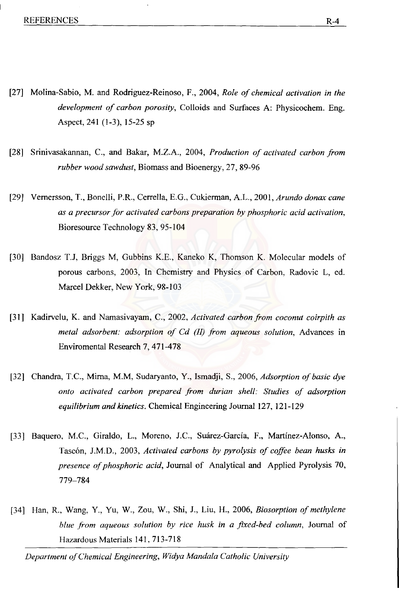- [27] Molina-Sabio, M. and Rodriguez-Reinoso, F., 2004, *Role of chemical activation in the development of carbon porosity,* Colloids and Surfaces A: Physicochem. Eng. Aspect, 241 (1-3), 15-25 sp
- [28] Srinivasakannan, C., and Bakar, M.Z.A., 2004, *Production of activated carbon from rubber wood sawdust,* Biomass and Bioenergy, 27, 89-96
- [29] Vernersson, T., Bonelli, P.R., Cerrella, E.G., Cukierrnan, A.L., 2001, *Arundo donax cane as a precursor for activated carbons preparation by phosphoric acid activation,*  Bioresource Technology 83, 95-104
- [30] Bandosz T.J, Briggs M, Gubbins K.E., Kaneko K, Thomson K. Molecular models of porous carbons, 2003, In Chemistry and Physics of Carbon, Radovic L, ed. Marcel Dekker, New York, 98-103
- [31] Kadirvelu, K. and Namasivayam, C., 2002, *Activated carbon from coconut coirpith as metal adsorbent: adsorption of Cd (II) from aqueous solution,* Advances in Enviromental Research 7, 471-478
- [32] Chandra, T.C., Mirna, M.M, Sudaryanto, Y., Ismadji, S., 2006, *Adsorption of basic dye onto activated carbon prepared from durian shell: Studies of adsorption equilibrium and kinetics.* Chemical Engineering Journal 127, 121-129
- [33] Baquero, M.C., Giraldo, L., Moreno, J.C., Suárez-García, F., Martínez-Alonso, A., Tasc6n, J.M.D., 2003, *Activated carbons by pyrolysis of coffee bean husks in presence of phosphoric acid,* Journal of Analytical and Applied Pyrolysis 70, 779-784
- [34] Han, R., Wang, Y., Yu, W., Zou, W., Shi, J., Liu, H., 2006, *Biosorption of methylene blue from aqueous solution by rice husk in a fixed-bed column,* Journal of Hazardous Materials 141, 713-718

*Department of Chemical Engineering, Widya Mandala Catholic University*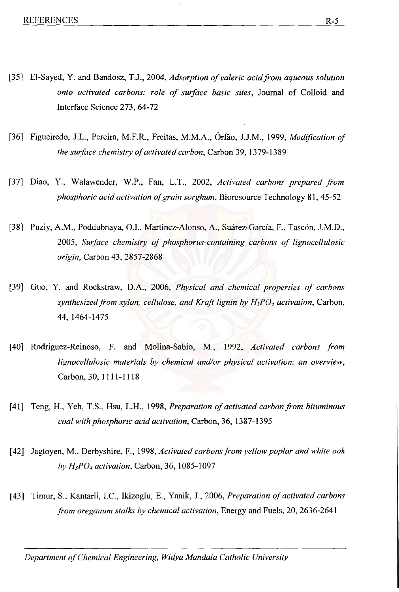- [35] El-Sayed, Y. and Bandosz, T.J., 2004, *Adsorption of valerie acid.from aqueous solution onto activated carbons: role of surface basic sites,* Journal of Colloid and Interface Science 273, 64-72
- [36] Figueiredo, J.L., Pereira, M.F.R., Freitas, M.M.A., Orrao, 1.1.M., 1999, *Modification of the surface chemistry of activated carbon,* Carbon 39, 1379-1389
- [37] Diao, Y., Walawender, W.P., Fan, L.T., 2002, Activated carbons prepared from *phosphoric acid activation of grain sorghum,* Bioresource Technology 81, 45-52
- [38] Puziy, A.M., Poddubnaya, O.I., Martínez-Alonso, A., Suárez-García, F., Tascón, J.M.D., *2005, Surface chemistry of phosphorus-containing carbons of lignocellulosic origin,* Carbon 43, 2857-2868
- [39] Guo, Y. and Rockstraw, D.A., 2006, *Physical and chemical properties of carbons synthesized.from xylan, cellulose, and Kraft lignin by H3P04 activation,* Carbon, 44,1464-1475
- [40] Rodriguez-Reinoso, F. and Molina-Sabio, M., 1992, *Activated carbons .from lignocellulosic materials by chemical and/or physical activation: an overview,*  Carbon, 30, 1111-1118
- [41] Teng, H., Yeh, T.S., Hsu, L.H., 1998, *Preparation of activated carbon from bituminous coal with phosphoric acid activation,* Carbon, 36, 1387-1395
- [42] Jagtoyen, M., Derbyshire, F., 1998, *Activated carbons from yellow poplar and white oak by H3P04 activation,* Carbon, 36,1085-1097
- [43] Timur, S., Kantarli, I.C., Ikizoglu, E., Yanik, J., 2006, *Preparation of activated carbons .from oreganum stalks by chemical activation,* Energy and Fuels, 20, 2636-2641

**Department of Chemical Engineering, Widya Mandala Catholic University**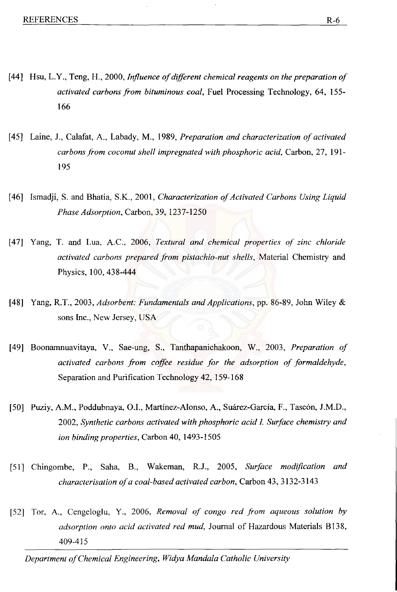- [44] Hsu, L.Y., Teng, H., 2000, *Influence of different chemical reagents on the preparation of activated carbons from bituminous coal,* Fuel Processing Technology, 64, 155- 166
- [45] Laine, J., Calafat, A., Labady, M., 1989, *Preparation and characterization of activated carbons from coconut shell impregnated with phosphoric acid,* Carbon, 27, 191- 195
- [46] Ismadji, S. and Bhatia, S.K., 2001, *Characterization of Activated Carbons Using Liquid Phase Adsorption,* Carbon, 39,1237-1250
- [47] Yang, T. and Lua, A.C., 2006, *Textural and chemical properties of zinc chloride activated carbons prepared from pistachio-nut shells,* Material Chemistry and Physics, 100, 438-444
- [48] Yang, R.T., 2003, *Adsorbent: Fundamentals and Applications,* pp. 86-89, John Wiley & sons Inc., New Jersey, USA
- [49] Boonamnuavitaya, Y., Sae-ung, S., Tanthapanichakoon, W., 2003, *Preparation of activated carbons from coffee residue for the adsorption of formaldehyde,*  Separation and Purification Technology 42, 159-168
- [50] Puziy, A.M., Poddubnaya, O.I., Martínez-Alonso, A., Suárez-García, F., Tascón, J.M.D., *2002, Synthetic carbons activated with phosphoric acid I Surface chemistry and ion binding properties,* Carbon 40,1493-1505
- [51] Chingombe, P., Saha, B., Wakeman, R.J., 2005, *Surface modification and characterisation of a coal-based activated carbon,* Carbon 43,3132-3143
- [52] Tor, A., Cengeloglu, Y., 2006, *Removal of congo red from aqueous solution by adsorption onto acid activated red mud,* Journal of Hazardous Materials B138, 409-415